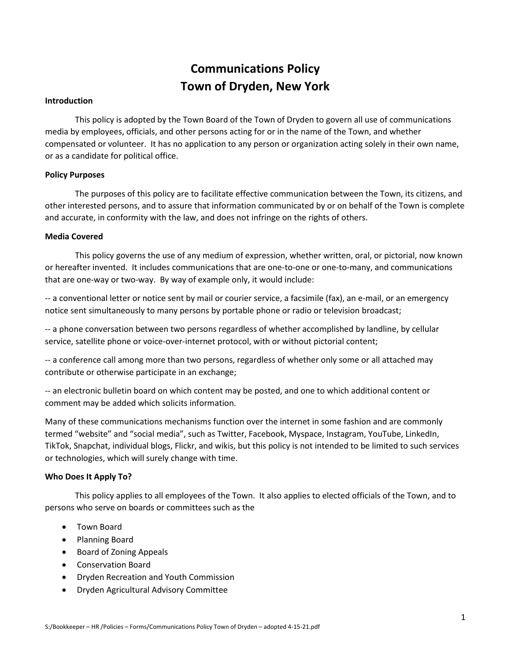# **Communications Policy Town of Dryden, New York**

## **Introduction**

This policy is adopted by the Town Board of the Town of Dryden to govern all use of communications media by employees, officials, and other persons acting for or in the name of the Town, and whether compensated or volunteer. It has no application to any person or organization acting solely in their own name, or as a candidate for political office.

#### **Policy Purposes**

The purposes of this policy are to facilitate effective communication between the Town, its citizens, and other interested persons, and to assure that information communicated by or on behalf of the Town is complete and accurate, in conformity with the law, and does not infringe on the rights of others.

#### **Media Covered**

This policy governs the use of any medium of expression, whether written, oral, or pictorial, now known or hereafter invented. It includes communications that are one-to-one or one-to-many, and communications that are one-way or two-way. By way of example only, it would include:

-- a conventional letter or notice sent by mail or courier service, a facsimile (fax), an e-mail, or an emergency notice sent simultaneously to many persons by portable phone or radio or television broadcast;

-- a phone conversation between two persons regardless of whether accomplished by landline, by cellular service, satellite phone or voice-over-internet protocol, with or without pictorial content;

-- a conference call among more than two persons, regardless of whether only some or all attached may contribute or otherwise participate in an exchange;

-- an electronic bulletin board on which content may be posted, and one to which additional content or comment may be added which solicits information.

Many of these communications mechanisms function over the internet in some fashion and are commonly termed "website" and "social media", such as Twitter, Facebook, Myspace, Instagram, YouTube, LinkedIn, TikTok, Snapchat, individual blogs, Flickr, and wikis, but this policy is not intended to be limited to such services or technologies, which will surely change with time.

#### **Who Does It Apply To?**

This policy applies to all employees of the Town. It also applies to elected officials of the Town, and to persons who serve on boards or committees such as the

- Town Board
- Planning Board
- Board of Zoning Appeals
- Conservation Board
- Dryden Recreation and Youth Commission
- Dryden Agricultural Advisory Committee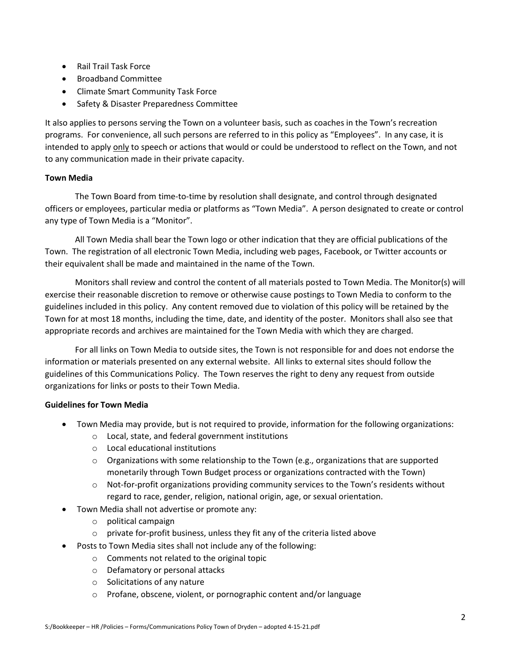- Rail Trail Task Force
- Broadband Committee
- Climate Smart Community Task Force
- Safety & Disaster Preparedness Committee

It also applies to persons serving the Town on a volunteer basis, such as coaches in the Town's recreation programs. For convenience, all such persons are referred to in this policy as "Employees". In any case, it is intended to apply only to speech or actions that would or could be understood to reflect on the Town, and not to any communication made in their private capacity.

# **Town Media**

The Town Board from time-to-time by resolution shall designate, and control through designated officers or employees, particular media or platforms as "Town Media". A person designated to create or control any type of Town Media is a "Monitor".

All Town Media shall bear the Town logo or other indication that they are official publications of the Town. The registration of all electronic Town Media, including web pages, Facebook, or Twitter accounts or their equivalent shall be made and maintained in the name of the Town.

Monitors shall review and control the content of all materials posted to Town Media. The Monitor(s) will exercise their reasonable discretion to remove or otherwise cause postings to Town Media to conform to the guidelines included in this policy. Any content removed due to violation of this policy will be retained by the Town for at most 18 months, including the time, date, and identity of the poster. Monitors shall also see that appropriate records and archives are maintained for the Town Media with which they are charged.

For all links on Town Media to outside sites, the Town is not responsible for and does not endorse the information or materials presented on any external website. All links to external sites should follow the guidelines of this Communications Policy. The Town reserves the right to deny any request from outside organizations for links or posts to their Town Media.

# **Guidelines for Town Media**

- Town Media may provide, but is not required to provide, information for the following organizations:
	- o Local, state, and federal government institutions
	- o Local educational institutions
	- $\circ$  Organizations with some relationship to the Town (e.g., organizations that are supported monetarily through Town Budget process or organizations contracted with the Town)
	- $\circ$  Not-for-profit organizations providing community services to the Town's residents without regard to race, gender, religion, national origin, age, or sexual orientation.
- Town Media shall not advertise or promote any:
	- o political campaign
	- o private for-profit business, unless they fit any of the criteria listed above
- Posts to Town Media sites shall not include any of the following:
	- o Comments not related to the original topic
	- o Defamatory or personal attacks
	- o Solicitations of any nature
	- o Profane, obscene, violent, or pornographic content and/or language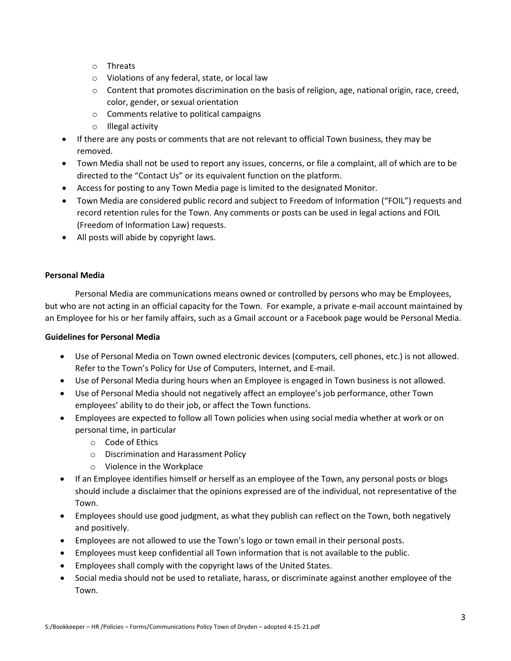- o Threats
- o Violations of any federal, state, or local law
- o Content that promotes discrimination on the basis of religion, age, national origin, race, creed, color, gender, or sexual orientation
- o Comments relative to political campaigns
- o Illegal activity
- If there are any posts or comments that are not relevant to official Town business, they may be removed.
- Town Media shall not be used to report any issues, concerns, or file a complaint, all of which are to be directed to the "Contact Us" or its equivalent function on the platform.
- Access for posting to any Town Media page is limited to the designated Monitor.
- Town Media are considered public record and subject to Freedom of Information ("FOIL") requests and record retention rules for the Town. Any comments or posts can be used in legal actions and FOIL (Freedom of Information Law) requests.
- All posts will abide by copyright laws.

# **Personal Media**

Personal Media are communications means owned or controlled by persons who may be Employees, but who are not acting in an official capacity for the Town. For example, a private e-mail account maintained by an Employee for his or her family affairs, such as a Gmail account or a Facebook page would be Personal Media.

# **Guidelines for Personal Media**

- Use of Personal Media on Town owned electronic devices (computers, cell phones, etc.) is not allowed. Refer to the Town's Policy for Use of Computers, Internet, and E-mail.
- Use of Personal Media during hours when an Employee is engaged in Town business is not allowed.
- Use of Personal Media should not negatively affect an employee's job performance, other Town employees' ability to do their job, or affect the Town functions.
- Employees are expected to follow all Town policies when using social media whether at work or on personal time, in particular
	- o Code of Ethics
	- o Discrimination and Harassment Policy
	- o Violence in the Workplace
- If an Employee identifies himself or herself as an employee of the Town, any personal posts or blogs should include a disclaimer that the opinions expressed are of the individual, not representative of the Town.
- Employees should use good judgment, as what they publish can reflect on the Town, both negatively and positively.
- Employees are not allowed to use the Town's logo or town email in their personal posts.
- Employees must keep confidential all Town information that is not available to the public.
- Employees shall comply with the copyright laws of the United States.
- Social media should not be used to retaliate, harass, or discriminate against another employee of the Town.